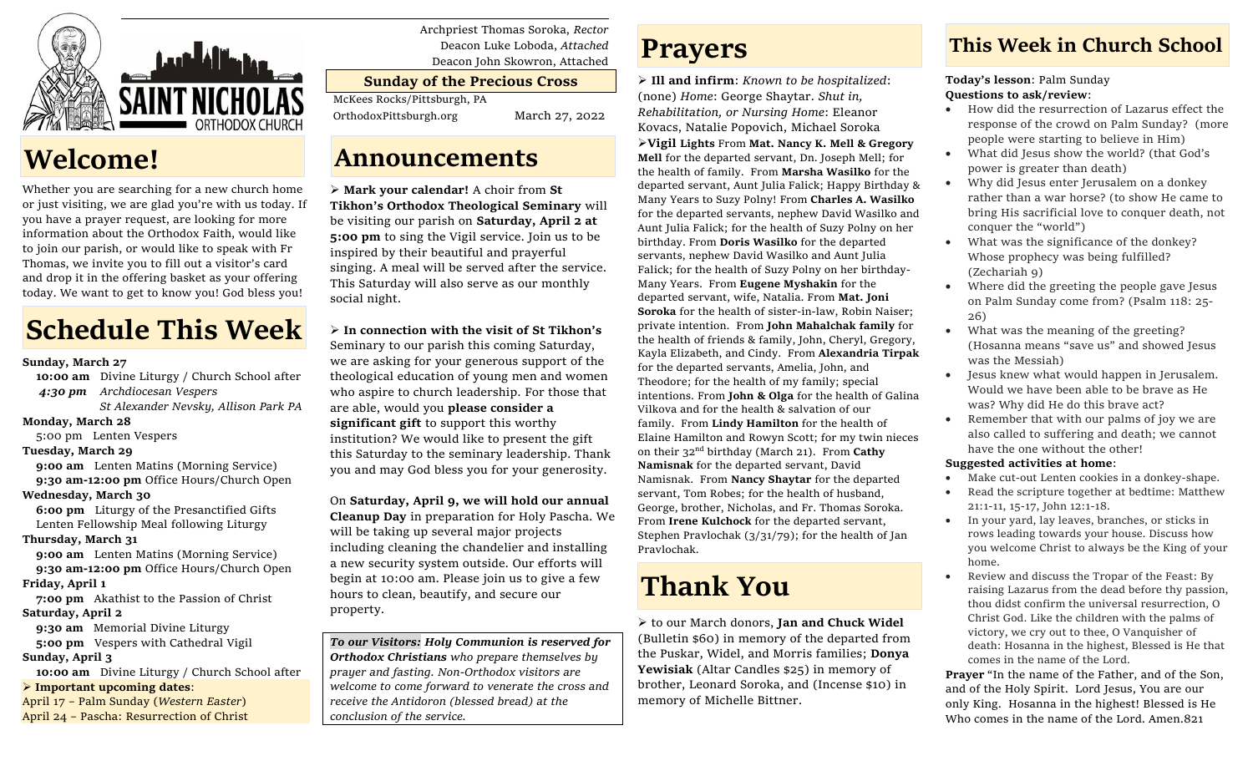

## **Welcome!**

Whether you are searching for a new church home or just visiting, we are glad you're with us today. If you have a prayer request, are looking for more information about the Orthodox Faith, would like to join our parish, or would like to speak with Fr Thomas, we invite you to fill out a visitor's card and drop it in the offering basket as your offering today. We want to get to know you! God bless you!

# **Schedule This Week**

### **Sunday, March 27**

 **10:00 am** Divine Liturgy / Church School after  *4:30 pm Archdiocesan Vespers*

 *St Alexander Nevsky, Allison Park PA*

### **Monday, March 28**

5:00 pm Lenten Vespers

### **Tuesday, March 29**

**9:00 am** Lenten Matins (Morning Service) **9:30 am-12:00 pm** Office Hours/Church Open

### **Wednesday, March 30**

 **6:00 pm** Liturgy of the Presanctified Gifts Lenten Fellowship Meal following Liturgy

### **Thursday, March 31**

**9:00 am** Lenten Matins (Morning Service) **9:30 am-12:00 pm** Office Hours/Church Open **Friday, April 1**

 **7:00 pm** Akathist to the Passion of Christ **Saturday, April 2**

 **9:30 am** Memorial Divine Liturgy

 **5:00 pm** Vespers with Cathedral Vigil **Sunday, April 3**

 **10:00 am** Divine Liturgy / Church School after

➢ **Important upcoming dates**:

April 17 – Palm Sunday (*Western Easter*) April 24 – Pascha: Resurrection of Christ Archpriest Thomas Soroka, *Rector* Deacon Luke Loboda, *Attached* Deacon John Skowron, Attached

## **Sunday of the Precious Cross**

McKees Rocks/Pittsburgh, PA

OrthodoxPittsburgh.org March 27, 2022

## **Announcements**

➢ **Mark your calendar!** A choir from **St Tikhon's Orthodox Theological Seminary** will be visiting our parish on **Saturday, April 2 at 5:00 pm** to sing the Vigil service. Join us to be inspired by their beautiful and prayerful singing. A meal will be served after the service. This Saturday will also serve as our monthly social night.

➢ **In connection with the visit of St Tikhon's**  Seminary to our parish this coming Saturday, we are asking for your generous support of the theological education of young men and women who aspire to church leadership. For those that are able, would you **please consider a significant gift** to support this worthy institution? We would like to present the gift this Saturday to the seminary leadership. Thank you and may God bless you for your generosity.

On **Saturday, April 9, we will hold our annual Cleanup Day** in preparation for Holy Pascha. We will be taking up several major projects including cleaning the chandelier and installing a new security system outside. Our efforts will begin at 10:00 am. Please join us to give a few hours to clean, beautify, and secure our property.

*To our Visitors: Holy Communion is reserved for Orthodox Christians who prepare themselves by prayer and fasting. Non-Orthodox visitors are welcome to come forward to venerate the cross and receive the Antidoron (blessed bread) at the conclusion of the service.*

## **Prayers**

➢ **Ill and infirm**: *Known to be hospitalized*: (none) *Home*: George Shaytar. *Shut in, Rehabilitation, or Nursing Home*: Eleanor Kovacs, Natalie Popovich, Michael Soroka ➢**Vigil Lights** From **Mat. Nancy K. Mell & Gregory Mell** for the departed servant, Dn. Joseph Mell; for the health of family. From **Marsha Wasilko** for the departed servant, Aunt Julia Falick; Happy Birthday & Many Years to Suzy Polny! From **Charles A. Wasilko** for the departed servants, nephew David Wasilko and Aunt Julia Falick; for the health of Suzy Polny on her birthday. From **Doris Wasilko** for the departed servants, nephew David Wasilko and Aunt Julia Falick; for the health of Suzy Polny on her birthday-Many Years. From **Eugene Myshakin** for the departed servant, wife, Natalia. From **Mat. Joni Soroka** for the health of sister-in-law, Robin Naiser; private intention. From **John Mahalchak family** for the health of friends & family, John, Cheryl, Gregory, Kayla Elizabeth, and Cindy. From **Alexandria Tirpak**  for the departed servants, Amelia, John, and Theodore; for the health of my family; special intentions. From **John & Olga** for the health of Galina Vilkova and for the health & salvation of our family. From **Lindy Hamilton** for the health of Elaine Hamilton and Rowyn Scott; for my twin nieces on their 32nd birthday (March 21). From **Cathy Namisnak** for the departed servant, David Namisnak. From **Nancy Shaytar** for the departed servant, Tom Robes; for the health of husband, George, brother, Nicholas, and Fr. Thomas Soroka. From **Irene Kulchock** for the departed servant, Stephen Pravlochak (3/31/79); for the health of Jan Pravlochak.

# **Thank You**

➢ to our March donors, **Jan and Chuck Widel** (Bulletin \$60) in memory of the departed from the Puskar, Widel, and Morris families; **Donya Yewisiak** (Altar Candles \$25) in memory of brother, Leonard Soroka, and (Incense \$10) in memory of Michelle Bittner.

## **This Week in Church School**

**Today's lesson**: Palm Sunday **Questions to ask/review**:

- How did the resurrection of Lazarus effect the response of the crowd on Palm Sunday? (more people were starting to believe in Him)
- What did Jesus show the world? (that God's power is greater than death)
- Why did Jesus enter Jerusalem on a donkey rather than a war horse? (to show He came to bring His sacrificial love to conquer death, not conquer the "world")
- What was the significance of the donkey? Whose prophecy was being fulfilled? (Zechariah 9)
- Where did the greeting the people gave Jesus on Palm Sunday come from? (Psalm 118: 25- 26)
- What was the meaning of the greeting? (Hosanna means "save us" and showed Jesus was the Messiah)
- Jesus knew what would happen in Jerusalem. Would we have been able to be brave as He was? Why did He do this brave act?
- Remember that with our palms of joy we are also called to suffering and death; we cannot have the one without the other!

### **Suggested activities at home**:

- Make cut-out Lenten cookies in a donkey-shape.
- Read the scripture together at bedtime: Matthew 21:1-11, 15-17, John 12:1-18.
- In your yard, lay leaves, branches, or sticks in rows leading towards your house. Discuss how you welcome Christ to always be the King of your home.
- Review and discuss the Tropar of the Feast: By raising Lazarus from the dead before thy passion, thou didst confirm the universal resurrection, O Christ God. Like the children with the palms of victory, we cry out to thee, O Vanquisher of death: Hosanna in the highest, Blessed is He that comes in the name of the Lord.

**Prayer** "In the name of the Father, and of the Son, and of the Holy Spirit. Lord Jesus, You are our only King. Hosanna in the highest! Blessed is He Who comes in the name of the Lord. Amen.821